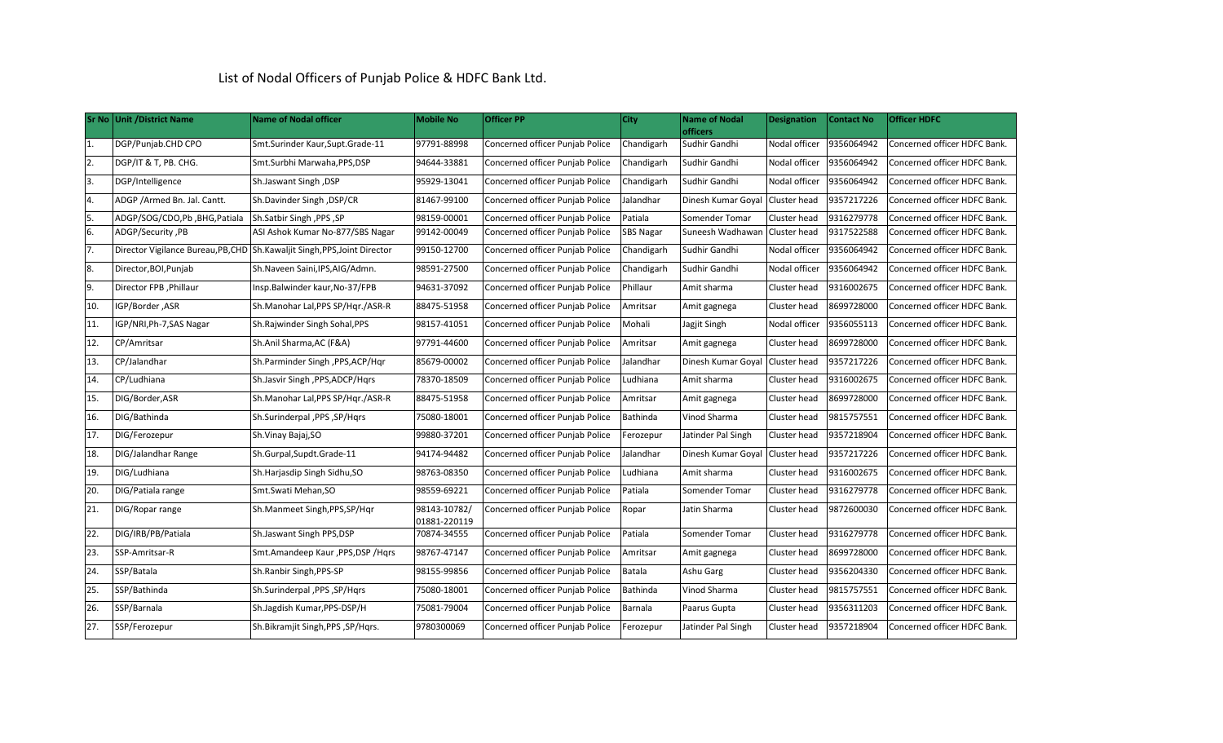## List of Nodal Officers of Punjab Police & HDFC Bank Ltd.

|                  | Sr No Unit / District Name    | Name of Nodal officer                                                     | <b>Mobile No</b>             | <b>Officer PP</b>               | City             | <b>Name of Nodal</b><br><b>officers</b> | <b>Designation</b> | <b>Contact No</b> | <b>Officer HDFC</b>          |
|------------------|-------------------------------|---------------------------------------------------------------------------|------------------------------|---------------------------------|------------------|-----------------------------------------|--------------------|-------------------|------------------------------|
| 1.               | DGP/Punjab.CHD CPO            | Smt.Surinder Kaur,Supt.Grade-11                                           | 97791-88998                  | Concerned officer Punjab Police | Chandigarh       | Sudhir Gandhi                           | Nodal officer      | 9356064942        | Concerned officer HDFC Bank. |
| $\overline{2}$ . | DGP/IT & T, PB. CHG.          | Smt.Surbhi Marwaha, PPS, DSP                                              | 94644-33881                  | Concerned officer Punjab Police | Chandigarh       | Sudhir Gandhi                           | Nodal officer      | 9356064942        | Concerned officer HDFC Bank. |
| $\overline{3}$ . | DGP/Intelligence              | Sh.Jaswant Singh, DSP                                                     | 95929-13041                  | Concerned officer Punjab Police | Chandigarh       | Sudhir Gandhi                           | Nodal officer      | 9356064942        | Concerned officer HDFC Bank. |
| 4.               | ADGP / Armed Bn. Jal. Cantt.  | Sh.Davinder Singh , DSP/CR                                                | 81467-99100                  | Concerned officer Punjab Police | Jalandhar        | Dinesh Kumar Goyal Cluster head         |                    | 9357217226        | Concerned officer HDFC Bank. |
| 5.               | ADGP/SOG/CDO,Pb, BHG, Patiala | Sh.Satbir Singh , PPS , SP                                                | 98159-00001                  | Concerned officer Punjab Police | Patiala          | Somender Tomar                          | Cluster head       | 9316279778        | Concerned officer HDFC Bank. |
| 6.               | ADGP/Security, PB             | ASI Ashok Kumar No-877/SBS Nagar                                          | 99142-00049                  | Concerned officer Punjab Police | <b>SBS Nagar</b> | Suneesh Wadhawan                        | Cluster head       | 9317522588        | Concerned officer HDFC Bank. |
| 7.               |                               | Director Vigilance Bureau, PB, CHD Sh.Kawaljit Singh, PPS, Joint Director | 99150-12700                  | Concerned officer Punjab Police | Chandigarh       | Sudhir Gandhi                           | Nodal officer      | 9356064942        | Concerned officer HDFC Bank. |
| 8.               | Director, BOI, Punjab         | Sh.Naveen Saini, IPS, AIG/Admn.                                           | 98591-27500                  | Concerned officer Punjab Police | Chandigarh       | Sudhir Gandhi                           | Nodal officer      | 9356064942        | Concerned officer HDFC Bank. |
| 9.               | Director FPB , Phillaur       | Insp.Balwinder kaur, No-37/FPB                                            | 94631-37092                  | Concerned officer Punjab Police | Phillaur         | Amit sharma                             | Cluster head       | 9316002675        | Concerned officer HDFC Bank. |
| 10.              | IGP/Border ,ASR               | Sh.Manohar Lal, PPS SP/Hgr./ASR-R                                         | 88475-51958                  | Concerned officer Punjab Police | Amritsar         | Amit gagnega                            | Cluster head       | 8699728000        | Concerned officer HDFC Bank. |
| 11.              | <b>GP/NRI,Ph-7,SAS Nagar</b>  | Sh.Rajwinder Singh Sohal, PPS                                             | 98157-41051                  | Concerned officer Punjab Police | Mohali           | Jagjit Singh                            | Nodal officer      | 9356055113        | Concerned officer HDFC Bank. |
| 12.              | CP/Amritsar                   | Sh.Anil Sharma, AC (F&A)                                                  | 97791-44600                  | Concerned officer Punjab Police | Amritsar         | Amit gagnega                            | Cluster head       | 8699728000        | Concerned officer HDFC Bank. |
| 13.              | CP/Jalandhar                  | Sh.Parminder Singh, PPS, ACP/Hqr                                          | 85679-00002                  | Concerned officer Punjab Police | Jalandhar        | Dinesh Kumar Goyal Cluster head         |                    | 9357217226        | Concerned officer HDFC Bank. |
| 14.              | CP/Ludhiana                   | Sh.Jasvir Singh, PPS, ADCP/Hgrs                                           | 78370-18509                  | Concerned officer Punjab Police | Ludhiana         | Amit sharma                             | Cluster head       | 9316002675        | Concerned officer HDFC Bank. |
| 15.              | DIG/Border, ASR               | Sh.Manohar Lal, PPS SP/Hgr./ASR-R                                         | 88475-51958                  | Concerned officer Punjab Police | Amritsar         | Amit gagnega                            | Cluster head       | 8699728000        | Concerned officer HDFC Bank. |
| 16.              | DIG/Bathinda                  | Sh.Surinderpal, PPS, SP/Hqrs                                              | 75080-18001                  | Concerned officer Punjab Police | Bathinda         | Vinod Sharma                            | Cluster head       | 9815757551        | Concerned officer HDFC Bank. |
| 17.              | DIG/Ferozepur                 | Sh.Vinay Bajaj, SO                                                        | 99880-37201                  | Concerned officer Punjab Police | Ferozepur        | Jatinder Pal Singh                      | Cluster head       | 9357218904        | Concerned officer HDFC Bank. |
| 18.              | DIG/Jalandhar Range           | Sh.Gurpal,Supdt.Grade-11                                                  | 94174-94482                  | Concerned officer Punjab Police | Jalandhar        | Dinesh Kumar Goyal Cluster head         |                    | 9357217226        | Concerned officer HDFC Bank. |
| 19.              | DIG/Ludhiana                  | Sh.Harjasdip Singh Sidhu, SO                                              | 98763-08350                  | Concerned officer Punjab Police | Ludhiana         | Amit sharma                             | Cluster head       | 9316002675        | Concerned officer HDFC Bank. |
| 20.              | DIG/Patiala range             | Smt.Swati Mehan, SO                                                       | 98559-69221                  | Concerned officer Punjab Police | Patiala          | Somender Tomar                          | Cluster head       | 9316279778        | Concerned officer HDFC Bank. |
| 21.              | DIG/Ropar range               | Sh.Manmeet Singh, PPS, SP/Hqr                                             | 98143-10782/<br>01881-220119 | Concerned officer Punjab Police | Ropar            | Jatin Sharma                            | Cluster head       | 9872600030        | Concerned officer HDFC Bank. |
| 22.              | DIG/IRB/PB/Patiala            | Sh.Jaswant Singh PPS, DSP                                                 | 70874-34555                  | Concerned officer Punjab Police | Patiala          | Somender Tomar                          | Cluster head       | 9316279778        | Concerned officer HDFC Bank. |
| 23.              | SSP-Amritsar-R                | Smt.Amandeep Kaur, PPS, DSP / Hqrs                                        | 98767-47147                  | Concerned officer Punjab Police | Amritsar         | Amit gagnega                            | Cluster head       | 8699728000        | Concerned officer HDFC Bank. |
| 24.              | SSP/Batala                    | Sh.Ranbir Singh, PPS-SP                                                   | 98155-99856                  | Concerned officer Punjab Police | Batala           | Ashu Garg                               | Cluster head       | 9356204330        | Concerned officer HDFC Bank. |
| 25.              | SSP/Bathinda                  | Sh.Surinderpal, PPS, SP/Hqrs                                              | 75080-18001                  | Concerned officer Punjab Police | Bathinda         | Vinod Sharma                            | Cluster head       | 9815757551        | Concerned officer HDFC Bank. |
| 26.              | SSP/Barnala                   | Sh.Jagdish Kumar, PPS-DSP/H                                               | 75081-79004                  | Concerned officer Punjab Police | Barnala          | Paarus Gupta                            | Cluster head       | 9356311203        | Concerned officer HDFC Bank. |
| 27.              | SSP/Ferozepur                 | Sh.Bikramjit Singh, PPS, SP/Hqrs.                                         | 9780300069                   | Concerned officer Punjab Police | Ferozepur        | Jatinder Pal Singh                      | Cluster head       | 9357218904        | Concerned officer HDFC Bank. |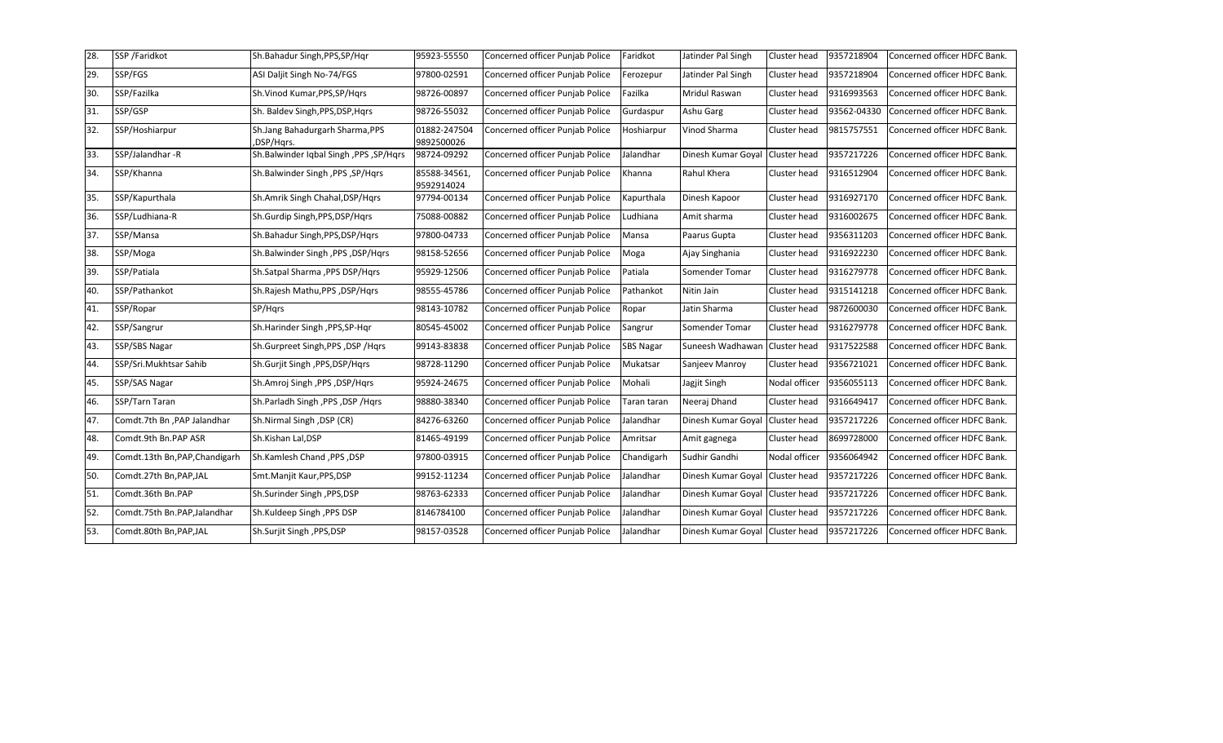| 28. | SSP /Faridkot                | Sh.Bahadur Singh, PPS, SP/Hqr                 | 95923-55550                | Concerned officer Punjab Police | Faridkot         | Jatinder Pal Singh                | Cluster head  | 9357218904  | Concerned officer HDFC Bank. |
|-----|------------------------------|-----------------------------------------------|----------------------------|---------------------------------|------------------|-----------------------------------|---------------|-------------|------------------------------|
| 29. | SSP/FGS                      | ASI Daljit Singh No-74/FGS                    | 97800-02591                | Concerned officer Punjab Police | Ferozepur        | Jatinder Pal Singh                | Cluster head  | 9357218904  | Concerned officer HDFC Bank. |
| 30. | SSP/Fazilka                  | Sh.Vinod Kumar, PPS, SP/Hgrs                  | 98726-00897                | Concerned officer Punjab Police | Fazilka          | Mridul Raswan                     | Cluster head  | 9316993563  | Concerned officer HDFC Bank. |
| 31. | SSP/GSP                      | Sh. Baldev Singh, PPS, DSP, Hgrs              | 98726-55032                | Concerned officer Punjab Police | Gurdaspur        | Ashu Garg                         | Cluster head  | 93562-04330 | Concerned officer HDFC Bank. |
| 32. | SSP/Hoshiarpur               | Sh.Jang Bahadurgarh Sharma, PPS<br>,DSP/Hgrs. | 01882-247504<br>9892500026 | Concerned officer Punjab Police | Hoshiarpur       | Vinod Sharma                      | Cluster head  | 9815757551  | Concerned officer HDFC Bank. |
| 33. | SSP/Jalandhar-R              | Sh.Balwinder Iqbal Singh , PPS , SP/Hqrs      | 98724-09292                | Concerned officer Punjab Police | Jalandhar        | Dinesh Kumar Goyal                | Cluster head  | 9357217226  | Concerned officer HDFC Bank. |
| 34. | SSP/Khanna                   | Sh.Balwinder Singh, PPS, SP/Hqrs              | 85588-34561,<br>9592914024 | Concerned officer Punjab Police | Khanna           | Rahul Khera                       | Cluster head  | 9316512904  | Concerned officer HDFC Bank. |
| 35. | SSP/Kapurthala               | Sh.Amrik Singh Chahal, DSP/Hgrs               | 97794-00134                | Concerned officer Punjab Police | Kapurthala       | Dinesh Kapoor                     | Cluster head  | 9316927170  | Concerned officer HDFC Bank. |
| 36. | SSP/Ludhiana-R               | Sh.Gurdip Singh, PPS, DSP/Hars                | 75088-00882                | Concerned officer Punjab Police | Ludhiana         | Amit sharma                       | Cluster head  | 9316002675  | Concerned officer HDFC Bank. |
| 37. | SSP/Mansa                    | Sh.Bahadur Singh, PPS, DSP/Hqrs               | 97800-04733                | Concerned officer Punjab Police | Mansa            | Paarus Gupta                      | Cluster head  | 9356311203  | Concerned officer HDFC Bank. |
| 38. | SSP/Moga                     | Sh.Balwinder Singh ,PPS, DSP/Hgrs             | 98158-52656                | Concerned officer Punjab Police | Moga             | Ajay Singhania                    | Cluster head  | 9316922230  | Concerned officer HDFC Bank. |
| 39. | SSP/Patiala                  | Sh.Satpal Sharma , PPS DSP/Hgrs               | 95929-12506                | Concerned officer Punjab Police | Patiala          | Somender Tomar                    | Cluster head  | 9316279778  | Concerned officer HDFC Bank. |
| 40. | SSP/Pathankot                | Sh.Rajesh Mathu, PPS, DSP/Hgrs                | 98555-45786                | Concerned officer Punjab Police | Pathankot        | Nitin Jain                        | Cluster head  | 9315141218  | Concerned officer HDFC Bank. |
| 41. | SSP/Ropar                    | SP/Hars                                       | 98143-10782                | Concerned officer Punjab Police | Ropar            | Jatin Sharma                      | Cluster head  | 9872600030  | Concerned officer HDFC Bank. |
| 42. | SSP/Sangrur                  | Sh.Harinder Singh, PPS, SP-Hgr                | 80545-45002                | Concerned officer Punjab Police | Sangrur          | Somender Tomar                    | Cluster head  | 9316279778  | Concerned officer HDFC Bank. |
| 43. | SSP/SBS Nagar                | Sh.Gurpreet Singh, PPS, DSP / Hqrs            | 99143-83838                | Concerned officer Punjab Police | <b>SBS Nagar</b> | Suneesh Wadhawan                  | Cluster head  | 9317522588  | Concerned officer HDFC Bank. |
| 44. | SSP/Sri.Mukhtsar Sahib       | Sh.Gurjit Singh, PPS, DSP/Hqrs                | 98728-11290                | Concerned officer Punjab Police | Mukatsar         | Sanjeev Manroy                    | Cluster head  | 9356721021  | Concerned officer HDFC Bank. |
| 45. | SSP/SAS Nagar                | Sh.Amroj Singh, PPS, DSP/Hqrs                 | 95924-24675                | Concerned officer Punjab Police | Mohali           | Jagjit Singh                      | Nodal officer | 9356055113  | Concerned officer HDFC Bank. |
| 46. | SSP/Tarn Taran               | Sh.Parladh Singh, PPS, DSP / Hqrs             | 98880-38340                | Concerned officer Punjab Police | Taran taran      | Neeraj Dhand                      | Cluster head  | 9316649417  | Concerned officer HDFC Bank. |
| 47. | Comdt.7th Bn,PAP Jalandhar   | Sh.Nirmal Singh, DSP (CR)                     | 84276-63260                | Concerned officer Punjab Police | Jalandhar        | Dinesh Kumar Goyal                | Cluster head  | 9357217226  | Concerned officer HDFC Bank. |
| 48. | Comdt.9th Bn.PAP ASR         | Sh.Kishan Lal,DSP                             | 81465-49199                | Concerned officer Punjab Police | Amritsar         | Amit gagnega                      | Cluster head  | 8699728000  | Concerned officer HDFC Bank. |
| 49. | Comdt.13th Bn,PAP,Chandigarh | Sh.Kamlesh Chand , PPS , DSP                  | 97800-03915                | Concerned officer Punjab Police | Chandigarh       | Sudhir Gandhi                     | Nodal officer | 9356064942  | Concerned officer HDFC Bank. |
| 50. | Comdt.27th Bn,PAP,JAL        | Smt.Manjit Kaur, PPS, DSP                     | 99152-11234                | Concerned officer Punjab Police | Jalandhar        | Dinesh Kumar Goyal Cluster head   |               | 9357217226  | Concerned officer HDFC Bank. |
| 51. | Comdt.36th Bn.PAP            | Sh.Surinder Singh, PPS, DSP                   | 98763-62333                | Concerned officer Punjab Police | Jalandhar        | Dinesh Kumar Goyal   Cluster head |               | 9357217226  | Concerned officer HDFC Bank. |
| 52. | Comdt.75th Bn.PAP,Jalandhar  | Sh.Kuldeep Singh, PPS DSP                     | 8146784100                 | Concerned officer Punjab Police | Jalandhar        | Dinesh Kumar Goyal                | Cluster head  | 9357217226  | Concerned officer HDFC Bank. |
| 53. | Comdt.80th Bn, PAP, JAL      | Sh.Surjit Singh, PPS, DSP                     | 98157-03528                | Concerned officer Punjab Police | Jalandhar        | Dinesh Kumar Goyal   Cluster head |               | 9357217226  | Concerned officer HDFC Bank. |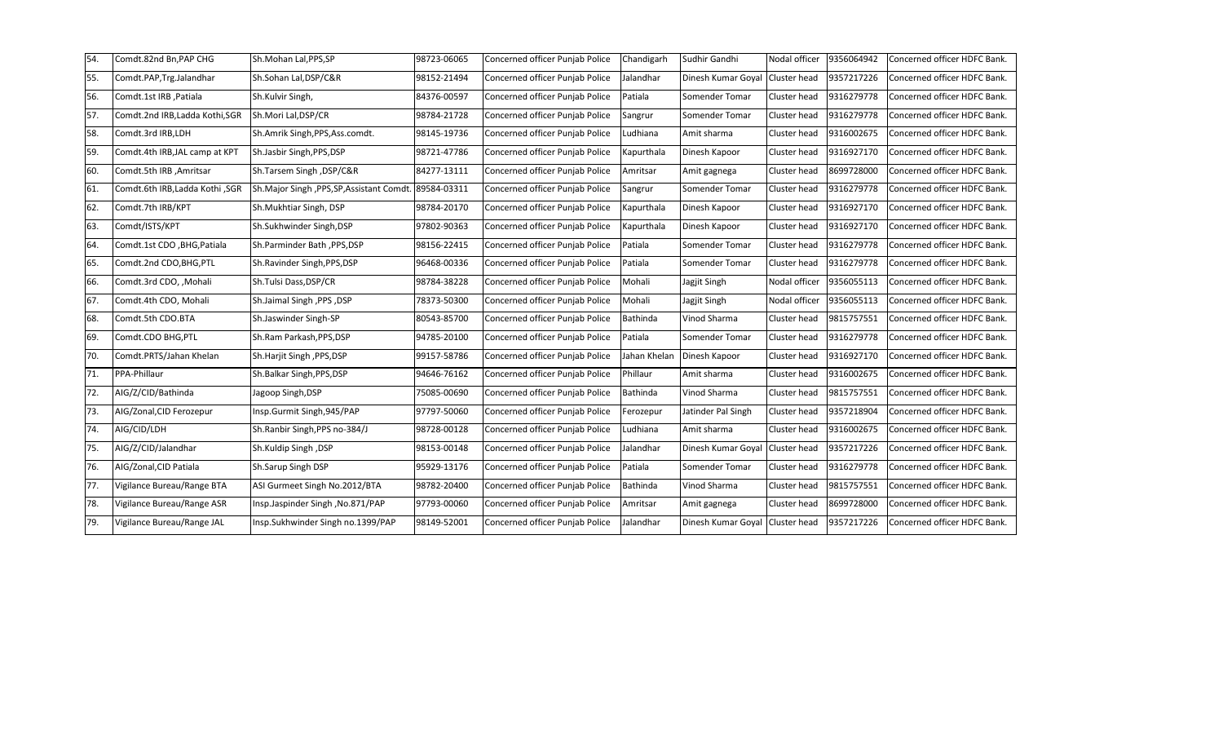| 54. | Comdt.82nd Bn,PAP CHG          | Sh.Mohan Lal, PPS, SP                                 | 98723-06065 | Concerned officer Punjab Police | Chandigarh      | Sudhir Gandhi                   | Nodal officer       | 9356064942 | Concerned officer HDFC Bank. |
|-----|--------------------------------|-------------------------------------------------------|-------------|---------------------------------|-----------------|---------------------------------|---------------------|------------|------------------------------|
| 55. | Comdt.PAP,Trg.Jalandhar        | Sh.Sohan Lal,DSP/C&R                                  | 98152-21494 | Concerned officer Punjab Police | Jalandhar       | Dinesh Kumar Goyal Cluster head |                     | 9357217226 | Concerned officer HDFC Bank. |
| 56. | Comdt.1st IRB ,Patiala         | Sh.Kulvir Singh,                                      | 84376-00597 | Concerned officer Punjab Police | Patiala         | Somender Tomar                  | Cluster head        | 9316279778 | Concerned officer HDFC Bank. |
| 57. | Comdt.2nd IRB,Ladda Kothi,SGR  | Sh.Mori Lal, DSP/CR                                   | 98784-21728 | Concerned officer Punjab Police | Sangrur         | Somender Tomar                  | Cluster head        | 9316279778 | Concerned officer HDFC Bank. |
| 58. | Comdt.3rd IRB,LDH              | Sh.Amrik Singh, PPS, Ass.comdt.                       | 98145-19736 | Concerned officer Punjab Police | Ludhiana        | Amit sharma                     | Cluster head        | 9316002675 | Concerned officer HDFC Bank. |
| 59. | Comdt.4th IRB, JAL camp at KPT | Sh.Jasbir Singh, PPS, DSP                             | 98721-47786 | Concerned officer Punjab Police | Kapurthala      | Dinesh Kapoor                   | Cluster head        | 9316927170 | Concerned officer HDFC Bank. |
| 60. | Comdt.5th IRB ,Amritsar        | Sh.Tarsem Singh, DSP/C&R                              | 84277-13111 | Concerned officer Punjab Police | Amritsar        | Amit gagnega                    | Cluster head        | 8699728000 | Concerned officer HDFC Bank. |
| 61. | SGR, Comdt.6th IRB,Ladda Kothi | Sh.Major Singh, PPS, SP, Assistant Comdt. 89584-03311 |             | Concerned officer Punjab Police | Sangrur         | Somender Tomar                  | Cluster head        | 9316279778 | Concerned officer HDFC Bank. |
| 62. | Comdt.7th IRB/KPT              | Sh.Mukhtiar Singh, DSP                                | 98784-20170 | Concerned officer Punjab Police | Kapurthala      | Dinesh Kapoor                   | Cluster head        | 9316927170 | Concerned officer HDFC Bank. |
| 63. | Comdt/ISTS/KPT                 | Sh.Sukhwinder Singh, DSP                              | 97802-90363 | Concerned officer Punjab Police | Kapurthala      | Dinesh Kapoor                   | Cluster head        | 9316927170 | Concerned officer HDFC Bank. |
| 64. | Comdt.1st CDO, BHG, Patiala    | Sh.Parminder Bath, PPS, DSP                           | 98156-22415 | Concerned officer Punjab Police | Patiala         | Somender Tomar                  | Cluster head        | 9316279778 | Concerned officer HDFC Bank. |
| 65. | Comdt.2nd CDO,BHG,PTL          | Sh.Ravinder Singh, PPS, DSP                           | 96468-00336 | Concerned officer Punjab Police | Patiala         | Somender Tomar                  | <b>Cluster head</b> | 9316279778 | Concerned officer HDFC Bank. |
| 66. | Comdt.3rd CDO, ,Mohali         | Sh.Tulsi Dass, DSP/CR                                 | 98784-38228 | Concerned officer Punjab Police | Mohali          | Jagjit Singh                    | Nodal officer       | 9356055113 | Concerned officer HDFC Bank. |
| 67. | Comdt.4th CDO, Mohali          | Sh.Jaimal Singh , PPS , DSP                           | 78373-50300 | Concerned officer Punjab Police | Mohali          | Jagjit Singh                    | Nodal officer       | 9356055113 | Concerned officer HDFC Bank. |
| 68. | Comdt.5th CDO.BTA              | Sh.Jaswinder Singh-SP                                 | 80543-85700 | Concerned officer Punjab Police | <b>Bathinda</b> | Vinod Sharma                    | Cluster head        | 9815757551 | Concerned officer HDFC Bank. |
| 69. | Comdt.CDO BHG,PTL              | Sh.Ram Parkash, PPS, DSP                              | 94785-20100 | Concerned officer Punjab Police | Patiala         | Somender Tomar                  | Cluster head        | 9316279778 | Concerned officer HDFC Bank. |
| 70. | Comdt.PRTS/Jahan Khelan        | Sh.Harjit Singh ,PPS,DSP                              | 99157-58786 | Concerned officer Punjab Police | Jahan Khelan    | Dinesh Kapoor                   | Cluster head        | 9316927170 | Concerned officer HDFC Bank. |
| 71. | PPA-Phillaur                   | Sh.Balkar Singh, PPS, DSP                             | 94646-76162 | Concerned officer Punjab Police | Phillaur        | Amit sharma                     | Cluster head        | 9316002675 | Concerned officer HDFC Bank. |
| 72. | AIG/Z/CID/Bathinda             | Jagoop Singh, DSP                                     | 75085-00690 | Concerned officer Punjab Police | Bathinda        | Vinod Sharma                    | Cluster head        | 9815757551 | Concerned officer HDFC Bank. |
| 73. | AIG/Zonal, CID Ferozepur       | Insp.Gurmit Singh, 945/PAP                            | 97797-50060 | Concerned officer Punjab Police | Ferozepur       | Jatinder Pal Singh              | Cluster head        | 9357218904 | Concerned officer HDFC Bank. |
| 74. | AIG/CID/LDH                    | Sh.Ranbir Singh, PPS no-384/J                         | 98728-00128 | Concerned officer Punjab Police | Ludhiana        | Amit sharma                     | Cluster head        | 9316002675 | Concerned officer HDFC Bank. |
| 75. | AIG/Z/CID/Jalandhar            | Sh.Kuldip Singh, DSP                                  | 98153-00148 | Concerned officer Punjab Police | lalandhar       | Dinesh Kumar Goyal Cluster head |                     | 9357217226 | Concerned officer HDFC Bank. |
| 76. | AIG/Zonal, CID Patiala         | Sh.Sarup Singh DSP                                    | 95929-13176 | Concerned officer Punjab Police | Patiala         | Somender Tomar                  | Cluster head        | 9316279778 | Concerned officer HDFC Bank. |
| 77. | Vigilance Bureau/Range BTA     | ASI Gurmeet Singh No.2012/BTA                         | 98782-20400 | Concerned officer Punjab Police | Bathinda        | Vinod Sharma                    | <b>Cluster head</b> | 9815757551 | Concerned officer HDFC Bank. |
| 78. | Vigilance Bureau/Range ASR     | Insp.Jaspinder Singh, No.871/PAP                      | 97793-00060 | Concerned officer Punjab Police | Amritsar        | Amit gagnega                    | Cluster head        | 8699728000 | Concerned officer HDFC Bank. |
| 79. | Vigilance Bureau/Range JAL     | Insp.Sukhwinder Singh no.1399/PAP                     | 98149-52001 | Concerned officer Punjab Police | Jalandhar       | Dinesh Kumar Goyal Cluster head |                     | 9357217226 | Concerned officer HDFC Bank. |
|     |                                |                                                       |             |                                 |                 |                                 |                     |            |                              |